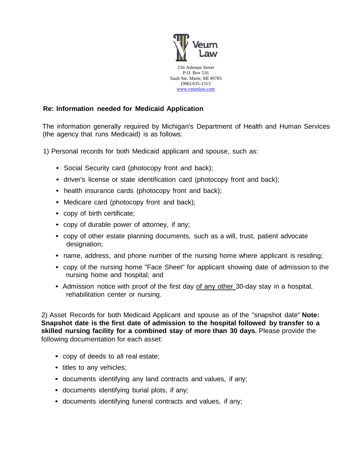

## **Re: Information needed for Medicaid Application**

The information generally required by Michigan's Department of Health and Human Services (the agency that runs Medicaid) is as follows:

1) Personal records for both Medicaid applicant and spouse, such as:

- Social Security card (photocopy front and back);
- driver's license or state identification card (photocopy front and back);
- health insurance cards (photocopy front and back);
- Medicare card (photocopy front and back);
- copy of birth certificate;
- copy of durable power of attorney, if any;
- copy of other estate planning documents, such as a will, trust, patient advocate designation;
- name, address, and phone number of the nursing home where applicant is residing;
- copy of the nursing home "Face Sheet" for applicant showing date of admission to the nursing home and hospital; and
- Admission notice with proof of the first day of any other 30-day stay in a hospital, rehabilitation center or nursing.

2) Asset Records for both Medicaid Applicant and spouse as of the "snapshot date" **Note: Snapshot date is the first date of admission to the hospital followed by transfer to a skilled nursing facility for a combined stay of more than 30 days.** Please provide the following documentation for each asset:

- copy of deeds to all real estate;
- titles to any vehicles;
- documents identifying any land contracts and values, if any;
- documents identifying burial plots, if any;
- documents identifying funeral contracts and values, if any;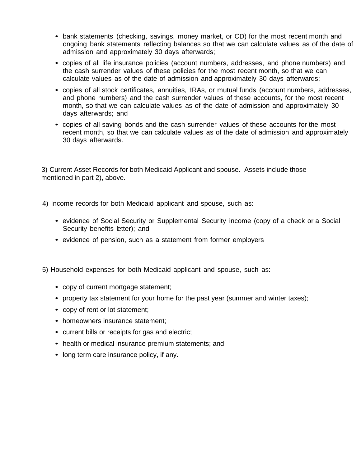- bank statements (checking, savings, money market, or CD) for the most recent month and ongoing bank statements reflecting balances so that we can calculate values as of the date of admission and approximately 30 days afterwards;
- copies of all life insurance policies (account numbers, addresses, and phone numbers) and the cash surrender values of these policies for the most recent month, so that we can calculate values as of the date of admission and approximately 30 days afterwards;
- copies of all stock certificates, annuities, IRAs, or mutual funds (account numbers, addresses, and phone numbers) and the cash surrender values of these accounts, for the most recent month, so that we can calculate values as of the date of admission and approximately 30 days afterwards; and
- copies of all saving bonds and the cash surrender values of these accounts for the most recent month, so that we can calculate values as of the date of admission and approximately 30 days afterwards.

3) Current Asset Records for both Medicaid Applicant and spouse. Assets include those mentioned in part 2), above.

4) Income records for both Medicaid applicant and spouse, such as:

- evidence of Social Security or Supplemental Security income (copy of a check or a Social Security benefits letter); and
- evidence of pension, such as a statement from former employers

5) Household expenses for both Medicaid applicant and spouse, such as:

- copy of current mortgage statement;
- property tax statement for your home for the past year (summer and winter taxes);
- copy of rent or lot statement;
- homeowners insurance statement;
- current bills or receipts for gas and electric;
- health or medical insurance premium statements; and
- long term care insurance policy, if any.